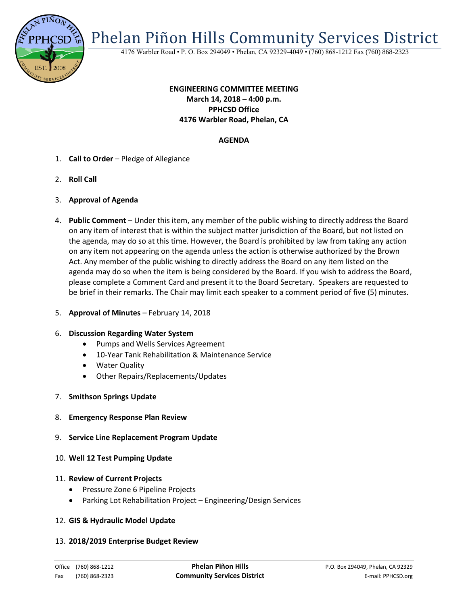

Phelan Piñon Hills Community Services District

4176 Warbler Road • P. O. Box 294049 • Phelan, CA 92329-4049 • (760) 868-1212 Fax (760) 868-2323

# **ENGINEERING COMMITTEE MEETING March 14, 2018 – 4:00 p.m. PPHCSD Office 4176 Warbler Road, Phelan, CA**

## **AGENDA**

- 1. **Call to Order** Pledge of Allegiance
- 2. **Roll Call**
- 3. **Approval of Agenda**
- 4. **Public Comment**  Under this item, any member of the public wishing to directly address the Board on any item of interest that is within the subject matter jurisdiction of the Board, but not listed on the agenda, may do so at this time. However, the Board is prohibited by law from taking any action on any item not appearing on the agenda unless the action is otherwise authorized by the Brown Act. Any member of the public wishing to directly address the Board on any item listed on the agenda may do so when the item is being considered by the Board. If you wish to address the Board, please complete a Comment Card and present it to the Board Secretary. Speakers are requested to be brief in their remarks. The Chair may limit each speaker to a comment period of five (5) minutes.
- 5. **Approval of Minutes**  February 14, 2018

#### 6. **Discussion Regarding Water System**

- Pumps and Wells Services Agreement
- 10-Year Tank Rehabilitation & Maintenance Service
- Water Quality
- Other Repairs/Replacements/Updates
- 7. **Smithson Springs Update**
- 8. **Emergency Response Plan Review**
- 9. **Service Line Replacement Program Update**
- 10. **Well 12 Test Pumping Update**

#### 11. **Review of Current Projects**

- Pressure Zone 6 Pipeline Projects
- Parking Lot Rehabilitation Project Engineering/Design Services

### 12. **GIS & Hydraulic Model Update**

#### 13. **2018/2019 Enterprise Budget Review**